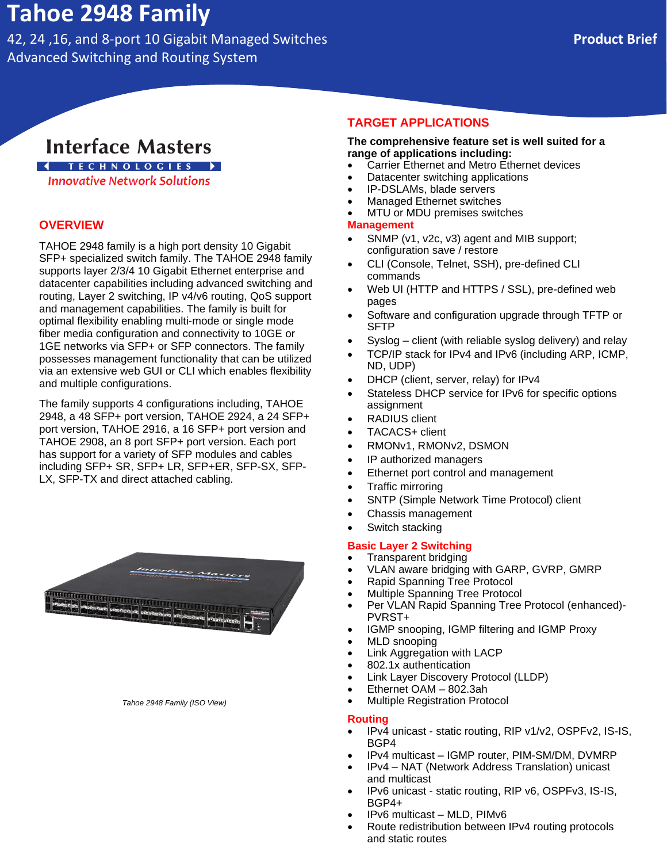# **Tahoe 2948 Family**

42, 24 ,16, and 8-port 10 Gigabit Managed Switches **Product Brief** Advanced Switching and Routing System

# **Interface Masters**

## **4** TECHNOLOGIES ▶

**Innovative Network Solutions** 

#### **OVERVIEW**

TAHOE 2948 family is a high port density 10 Gigabit SFP+ specialized switch family. The TAHOE 2948 family supports layer 2/3/4 10 Gigabit Ethernet enterprise and datacenter capabilities including advanced switching and routing, Layer 2 switching, IP v4/v6 routing, QoS support and management capabilities. The family is built for optimal flexibility enabling multi-mode or single mode fiber media configuration and connectivity to 10GE or 1GE networks via SFP+ or SFP connectors. The family possesses management functionality that can be utilized via an extensive web GUI or CLI which enables flexibility and multiple configurations.

The family supports 4 configurations including, TAHOE 2948, a 48 SFP+ port version, TAHOE 2924, a 24 SFP+ port version, TAHOE 2916, a 16 SFP+ port version and TAHOE 2908, an 8 port SFP+ port version. Each port has support for a variety of SFP modules and cables including SFP+ SR, SFP+ LR, SFP+ER, SFP-SX, SFP-LX, SFP-TX and direct attached cabling.



#### *Tahoe 2948 Family (ISO View)*

#### **TARGET APPLICATIONS**

#### **The comprehensive feature set is well suited for a range of applications including:**

- Carrier Ethernet and Metro Ethernet devices
- Datacenter switching applications
- IP-DSLAMs, blade servers
- Managed Ethernet switches
- MTU or MDU premises switches

#### **Management**

- SNMP (v1, v2c, v3) agent and MIB support; configuration save / restore
- CLI (Console, Telnet, SSH), pre-defined CLI commands
- Web UI (HTTP and HTTPS / SSL), pre-defined web pages
- Software and configuration upgrade through TFTP or SFTP
- Syslog client (with reliable syslog delivery) and relay
- TCP/IP stack for IPv4 and IPv6 (including ARP, ICMP,
- ND, UDP) • DHCP (client, server, relay) for IPv4
- Stateless DHCP service for IPv6 for specific options assignment
- RADIUS client
- TACACS+ client
- RMONv1, RMONv2, DSMON
- IP authorized managers
- Ethernet port control and management
- Traffic mirroring
- SNTP (Simple Network Time Protocol) client
- Chassis management
- Switch stacking

#### **Basic Layer 2 Switching**

- Transparent bridging
- VLAN aware bridging with GARP, GVRP, GMRP
- Rapid Spanning Tree Protocol
- Multiple Spanning Tree Protocol
- Per VLAN Rapid Spanning Tree Protocol (enhanced)- PVRST+
- IGMP snooping, IGMP filtering and IGMP Proxy
- MLD snooping
- Link Aggregation with LACP
- 802.1x authentication
- Link Layer Discovery Protocol (LLDP)
- Ethernet OAM 802.3ah
- Multiple Registration Protocol

#### **Routing**

- IPv4 unicast static routing, RIP v1/v2, OSPFv2, IS-IS, BGP4
- IPv4 multicast IGMP router, PIM-SM/DM, DVMRP
- IPv4 NAT (Network Address Translation) unicast and multicast
- IPv6 unicast static routing, RIP v6, OSPFv3, IS-IS, BGP4+
- IPv6 multicast MLD, PIMv6
- Route redistribution between IPv4 routing protocols and static routes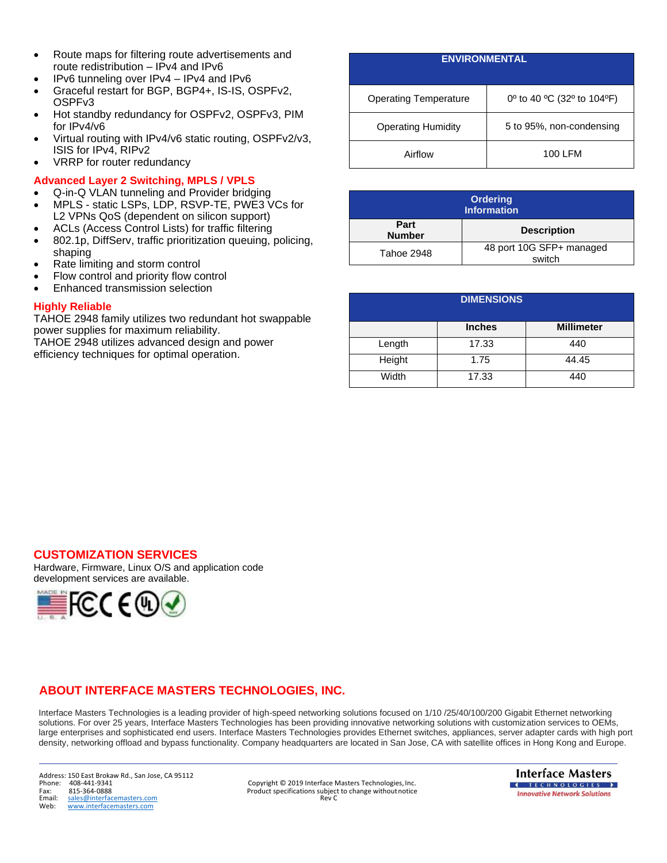- Route maps for filtering route advertisements and route redistribution – IPv4 and IPv6
- IPv6 tunneling over IPv4 IPv4 and IPv6
- Graceful restart for BGP, BGP4+, IS-IS, OSPFv2, OSPFv3
- Hot standby redundancy for OSPFv2, OSPFv3, PIM for IPv4/v6
- Virtual routing with IPv4/v6 static routing, OSPFv2/v3, ISIS for IPv4, RIPv2
- VRRP for router redundancy

#### **Advanced Layer 2 Switching, MPLS / VPLS**

- Q-in-Q VLAN tunneling and Provider bridging • MPLS - static LSPs, LDP, RSVP-TE, PWE3 VCs for
- L2 VPNs QoS (dependent on silicon support)
- ACLs (Access Control Lists) for traffic filtering
- 802.1p, DiffServ, traffic prioritization queuing, policing, shaping
- Rate limiting and storm control
- Flow control and priority flow control
- Enhanced transmission selection

#### **Highly Reliable**

TAHOE 2948 family utilizes two redundant hot swappable power supplies for maximum reliability. TAHOE 2948 utilizes advanced design and power efficiency techniques for optimal operation.

# **ENVIRONMENTAL** Operating Temperature  $\begin{bmatrix} 0^{\circ} & 10 & 40 & \text{°C} & (32^{\circ} & \text{to} & 104 & \text{°F}) \\ 0 & 0 & 40 & \text{°C} & (32^{\circ} & \text{to} & 104 & \text{°F}) \end{bmatrix}$ Operating Humidity 5 to 95%, non-condensing

| <b>Ordering</b><br><b>Information</b> |                                    |  |
|---------------------------------------|------------------------------------|--|
| Part<br><b>Number</b>                 | <b>Description</b>                 |  |
| Tahoe 2948                            | 48 port 10G SFP+ managed<br>switch |  |

Airflow **100 LFM** 

| <b>DIMENSIONS</b> |               |                   |
|-------------------|---------------|-------------------|
|                   | <b>Inches</b> | <b>Millimeter</b> |
| Length            | 17.33         | 440               |
| Height            | 1.75          | 44.45             |
| Width             | 17.33         | 440               |

#### **CUSTOMIZATION SERVICES**

Hardware, Firmware, Linux O/S and application code development services are available.



## **ABOUT INTERFACE MASTERS TECHNOLOGIES, INC.**

Interface Masters Technologies is a leading provider of high-speed networking solutions focused on 1/10 /25/40/100/200 Gigabit Ethernet networking solutions. For over 25 years, Interface Masters Technologies has been providing innovative networking solutions with customization services to OEMs, large enterprises and sophisticated end users. Interface Masters Technologies provides Ethernet switches, appliances, server adapter cards with high port density, networking offload and bypass functionality. Company headquarters are located in San Jose, CA with satellite offices in Hong Kong and Europe.

Address: 150 East Brokaw Rd., San Jose, CA 95112 Email: [sales@interfacemasters.com](mailto:sales@interfacemasters.com)<br>Web: www.interfacemasters.com Web: [www.interfacemasters.com](http://www.interfacemasters.com/)

Phone: 408-441-9341 Copyright © 2019 Interface Masters Technologies, Inc.<br>Phone: 408-441-9341 Copyright © 2019 Interface Masters Technologies, Inc.<br>Fax: 815-364-0888 Fax: 815-364-0888 Fax: 815-364-0888 Product specifications subject to change without notice<br>
Finally sales@interfacemasters.com exercises and the sales@interfacemasters.com

**Interface Masters I** TECHNOLOGIES **I Innovative Network Solutions**